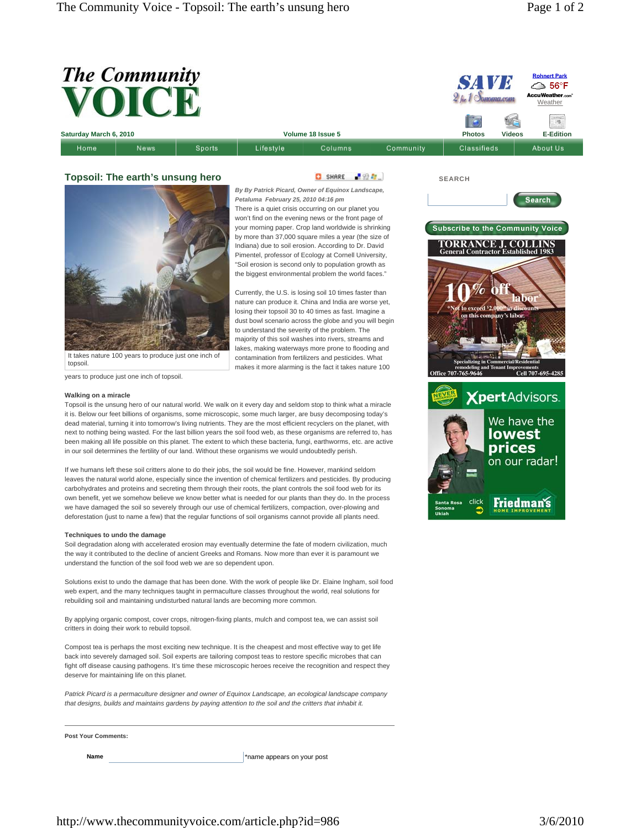|                                  | <b>The Community</b><br>VOICE                                                                       |        |                                                                                                                                                                                                                                                                                                                                                                                                                                                                                                                                                                                                                                                                                                                                                                                                                 |         |           | <b>SAVE</b><br>$21$ for 1 Sonoma.com                                                                                                                                                                                                                      |               | <b>Rohnert Park</b><br><b>△ 56°F</b><br><b>AccuWeather.com</b><br>Weather<br>is. |
|----------------------------------|-----------------------------------------------------------------------------------------------------|--------|-----------------------------------------------------------------------------------------------------------------------------------------------------------------------------------------------------------------------------------------------------------------------------------------------------------------------------------------------------------------------------------------------------------------------------------------------------------------------------------------------------------------------------------------------------------------------------------------------------------------------------------------------------------------------------------------------------------------------------------------------------------------------------------------------------------------|---------|-----------|-----------------------------------------------------------------------------------------------------------------------------------------------------------------------------------------------------------------------------------------------------------|---------------|----------------------------------------------------------------------------------|
| Saturday March 6, 2010           |                                                                                                     |        | Volume 18 Issue 5                                                                                                                                                                                                                                                                                                                                                                                                                                                                                                                                                                                                                                                                                                                                                                                               |         |           | <b>Photos</b>                                                                                                                                                                                                                                             | <b>Videos</b> | <b>E-Edition</b>                                                                 |
| Home                             | News                                                                                                | Sports | Lifestyle                                                                                                                                                                                                                                                                                                                                                                                                                                                                                                                                                                                                                                                                                                                                                                                                       | Columns | Community | Classifieds                                                                                                                                                                                                                                               |               | About Us                                                                         |
| Topsoil: The earth's unsung hero |                                                                                                     |        | 上级型。<br>SHARE<br>By By Patrick Picard, Owner of Equinox Landscape,<br>Petaluma February 25, 2010 04:16 pm<br>There is a quiet crisis occurring on our planet you<br>won't find on the evening news or the front page of<br>your morning paper. Crop land worldwide is shrinking<br>by more than 37,000 square miles a year (the size of<br>Indiana) due to soil erosion. According to Dr. David<br>Pimentel, professor of Ecology at Cornell University,<br>"Soil erosion is second only to population growth as<br>the biggest environmental problem the world faces."<br>Currently, the U.S. is losing soil 10 times faster than<br>nature can produce it. China and India are worse yet,<br>losing their topsoil 30 to 40 times as fast. Imagine a<br>dust bowl scenario across the globe and you will begin |         |           | <b>SEARCH</b><br><b>Searc</b><br><b>Subscribe to the Community Voice</b><br><b>TORRANCE J. COLLINS</b><br>General Contractor Established 1983<br>abor<br><sup>9</sup> Not to exceed <sup>5</sup> 2,000 <sup>oo</sup> in discu<br>on this company's labor. |               |                                                                                  |
| topsoil.                         | It takes nature 100 years to produce just one inch of<br>years to produce just one inch of topsoil. |        | majority of this soil washes into rivers, streams and<br>lakes, making waterways more prone to flooding and<br>contamination from fertilizers and pesticides. What<br>makes it more alarming is the fact it takes nature 100                                                                                                                                                                                                                                                                                                                                                                                                                                                                                                                                                                                    |         |           | <b>Specializing in Commercial/Residential</b><br>remodeling and Tenant Improvements<br>Office 707-765-9646                                                                                                                                                |               | Cell 707-695-4285                                                                |

## **Walking on a miracle**

Topsoil is the unsung hero of our natural world. We walk on it every day and seldom stop to think what a miracle it is. Below our feet billions of organisms, some microscopic, some much larger, are busy decomposing today's dead material, turning it into tomorrow's living nutrients. They are the most efficient recyclers on the planet, with next to nothing being wasted. For the last billion years the soil food web, as these organisms are referred to, has been making all life possible on this planet. The extent to which these bacteria, fungi, earthworms, etc. are active in our soil determines the fertility of our land. Without these organisms we would undoubtedly perish.

If we humans left these soil critters alone to do their jobs, the soil would be fine. However, mankind seldom leaves the natural world alone, especially since the invention of chemical fertilizers and pesticides. By producing carbohydrates and proteins and secreting them through their roots, the plant controls the soil food web for its own benefit, yet we somehow believe we know better what is needed for our plants than they do. In the process we have damaged the soil so severely through our use of chemical fertilizers, compaction, over-plowing and deforestation (just to name a few) that the regular functions of soil organisms cannot provide all plants need.

## **Techniques to undo the damage**

Soil degradation along with accelerated erosion may eventually determine the fate of modern civilization, much the way it contributed to the decline of ancient Greeks and Romans. Now more than ever it is paramount we understand the function of the soil food web we are so dependent upon.

Solutions exist to undo the damage that has been done. With the work of people like Dr. Elaine Ingham, soil food web expert, and the many techniques taught in permaculture classes throughout the world, real solutions for rebuilding soil and maintaining undisturbed natural lands are becoming more common.

By applying organic compost, cover crops, nitrogen-fixing plants, mulch and compost tea, we can assist soil critters in doing their work to rebuild topsoil.

Compost tea is perhaps the most exciting new technique. It is the cheapest and most effective way to get life back into severely damaged soil. Soil experts are tailoring compost teas to restore specific microbes that can fight off disease causing pathogens. It's time these microscopic heroes receive the recognition and respect they deserve for maintaining life on this planet.

*Patrick Picard is a permaculture designer and owner of Equinox Landscape, an ecological landscape company that designs, builds and maintains gardens by paying attention to the soil and the critters that inhabit it.* 

## **Post Your Comments:**

**Name** \*name appears on your post